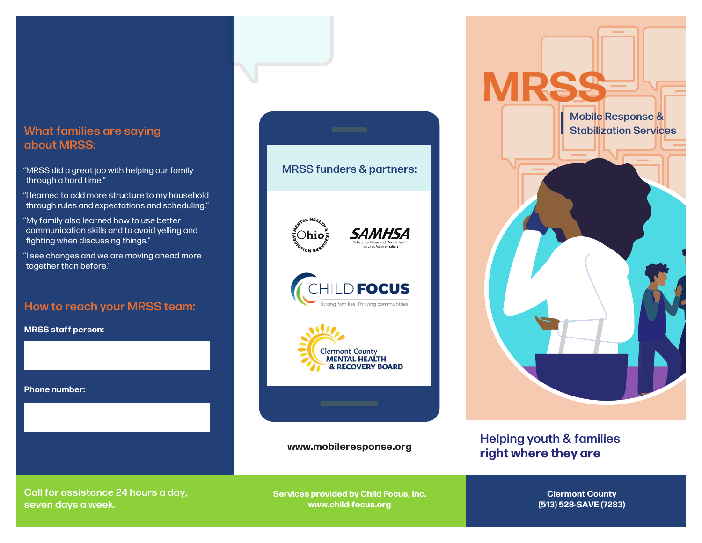## about MRSS:

- "MRSS did a great job with helping our family through a hard time."
- "I learned to add more structure to my household through rules and expectations and scheduling."
- "My family also learned how to use better communication skills and to avoid yelling and fighting when discussing things."
- "I see changes and we are moving ahead more together than before."

#### How to reach your MRSS team:

**MRSS staff person:**

**Phone number:**



**www.mobileresponse.org**



#### Helping youth & families **right where they are**

Call for assistance 24 hours a day, seven days a week.

**Services provided by Child Focus, Inc. www.child-focus.org**

**Clermont County (513) 528-SAVE (7283)**